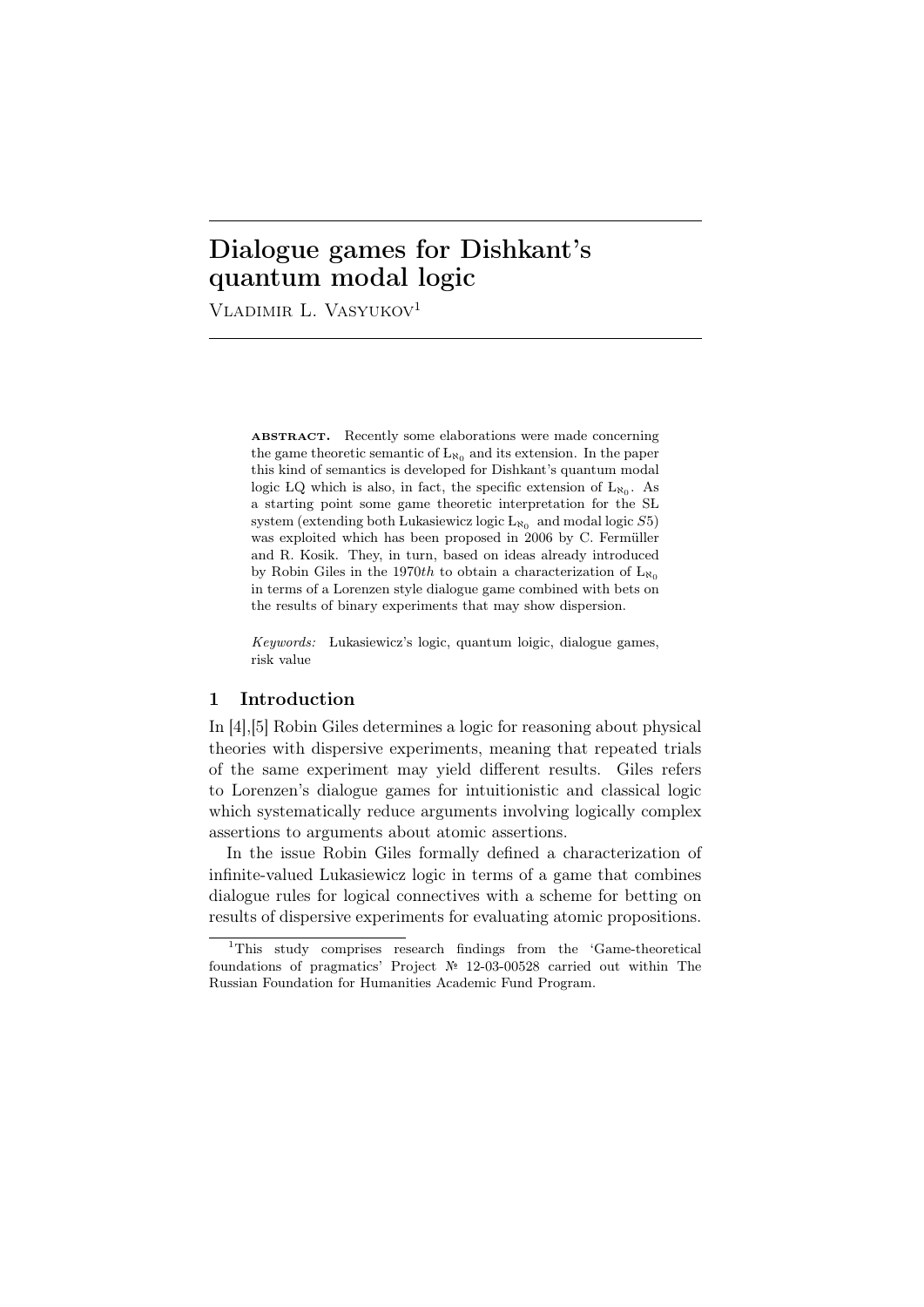# Dialogue games for Dishkant's quantum modal logic

VLADIMIR L. VASYUKOV<sup>1</sup>

ABSTRACT. Recently some elaborations were made concerning the game theoretic semantic of  $L_{\aleph_0}$  and its extension. In the paper this kind of semantics is developed for Dishkant's quantum modal logic LQ which is also, in fact, the specific extension of  $L_{\aleph_0}$ . As a starting point some game theoretic interpretation for the SL system (extending both Lukasiewicz logic  $L_{\aleph_0}$  and modal logic  $S5$ ) was exploited which has been proposed in 2006 by C. Fermüller and R. Kosik. They, in turn, based on ideas already introduced by Robin Giles in the 1970*th* to obtain a characterization of  $L_{\aleph_0}$ in terms of a Lorenzen style dialogue game combined with bets on the results of binary experiments that may show dispersion.

*Keywords:* Lukasiewicz's logic, quantum loigic, dialogue games, risk value

### 1 Introduction

In [4],[5] Robin Giles determines a logic for reasoning about physical theories with dispersive experiments, meaning that repeated trials of the same experiment may yield different results. Giles refers to Lorenzen's dialogue games for intuitionistic and classical logic which systematically reduce arguments involving logically complex assertions to arguments about atomic assertions.

In the issue Robin Giles formally defined a characterization of infinite-valued Lukasiewicz logic in terms of a game that combines dialogue rules for logical connectives with a scheme for betting on results of dispersive experiments for evaluating atomic propositions.

<sup>1</sup>This study comprises research findings from the 'Game-theoretical foundations of pragmatics' Project № 12-03-00528 carried out within The Russian Foundation for Humanities Academic Fund Program.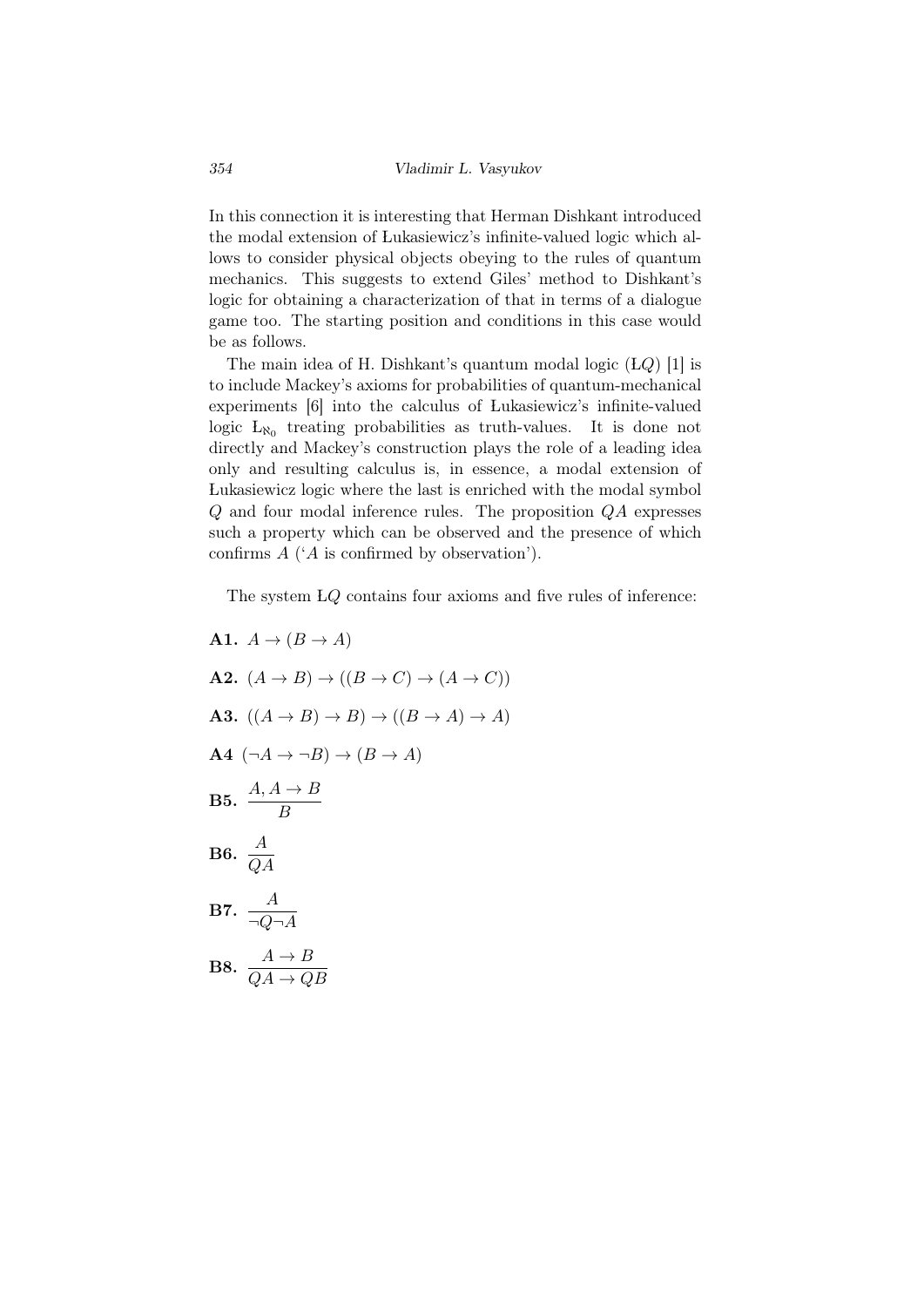In this connection it is interesting that Herman Dishkant introduced the modal extension of Lukasiewicz's infinite-valued logic which allows to consider physical objects obeying to the rules of quantum mechanics. This suggests to extend Giles' method to Dishkant's logic for obtaining a characterization of that in terms of a dialogue game too. The starting position and conditions in this case would be as follows.

The main idea of H. Dishkant's quantum modal logic (*LQ*) [1] is to include Mackey's axioms for probabilities of quantum-mechanical experiments [6] into the calculus of Lukasiewicz's infinite-valued logic  $L_{\aleph_0}$  treating probabilities as truth-values. It is done not directly and Mackey's construction plays the role of a leading idea only and resulting calculus is, in essence, a modal extension of Lukasiewicz logic where the last is enriched with the modal symbol *Q* and four modal inference rules. The proposition *QA* expresses such a property which can be observed and the presence of which confirms *A* ('*A* is confirmed by observation').

The system L*Q* contains four axioms and five rules of inference:

A1.  $A \rightarrow (B \rightarrow A)$  $\mathbf{A2.}$   $(A \rightarrow B) \rightarrow ((B \rightarrow C) \rightarrow (A \rightarrow C))$ A3.  $((A \rightarrow B) \rightarrow B) \rightarrow ((B \rightarrow A) \rightarrow A)$  $\mathbf{A4}$   $(\neg A \rightarrow \neg B) \rightarrow (B \rightarrow A)$ **B5.**  $\frac{A, A \rightarrow B}{B}$ B6.  $\frac{A}{QA}$ B7.  $\frac{A}{\neg Q \neg A}$ **B8.**  $\frac{A \rightarrow B}{QA \rightarrow QB}$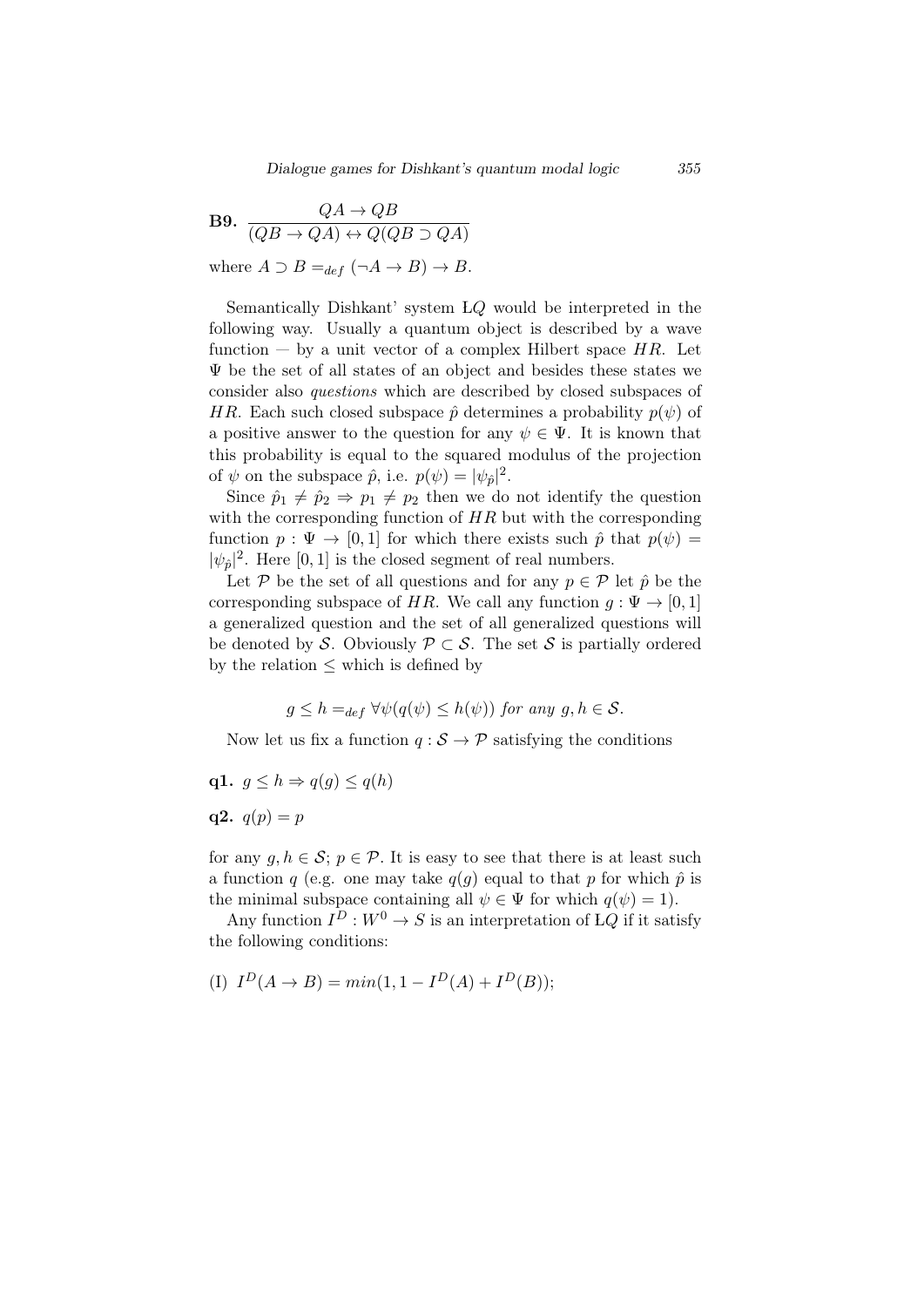**B9.** 
$$
\frac{QA \to QB}{(QB \to QA) \leftrightarrow Q(QB \supset QA)}
$$

where  $A \supset B =_{def} (\neg A \rightarrow B) \rightarrow B$ .

Semantically Dishkant' system L*Q* would be interpreted in the following way. Usually a quantum object is described by a wave function — by a unit vector of a complex Hilbert space *HR*. Let  $\Psi$  be the set of all states of an object and besides these states we consider also *questions* which are described by closed subspaces of *HR*. Each such closed subspace  $\hat{p}$  determines a probability  $p(\psi)$  of a positive answer to the question for any  $\psi \in \Psi$ . It is known that this probability is equal to the squared modulus of the projection of  $\psi$  on the subspace  $\hat{p}$ , i.e.  $p(\psi) = |\psi_{\hat{p}}|^2$ .

Since  $\hat{p}_1 \neq \hat{p}_2 \Rightarrow p_1 \neq p_2$  then we do not identify the question with the corresponding function of *HR* but with the corresponding function  $p : \Psi \to [0, 1]$  for which there exists such  $\hat{p}$  that  $p(\psi) =$  $|\psi_{\hat{p}}|^2$ . Here [0, 1] is the closed segment of real numbers.

Let  $P$  be the set of all questions and for any  $p \in P$  let  $\hat{p}$  be the corresponding subspace of *HR*. We call any function  $g : \Psi \to [0, 1]$ a generalized question and the set of all generalized questions will be denoted by *S*. Obviously  $\mathcal{P} \subset \mathcal{S}$ . The set *S* is partially ordered by the relation *≤* which is defined by

$$
g \leq h =_{def} \forall \psi(q(\psi) \leq h(\psi))
$$
 for any  $g, h \in S$ .

Now let us fix a function  $q : \mathcal{S} \to \mathcal{P}$  satisfying the conditions

$$
q1. \, g \leq h \Rightarrow q(g) \leq q(h)
$$

 $q2. q(p) = p$ 

for any  $q, h \in \mathcal{S}$ ;  $p \in \mathcal{P}$ . It is easy to see that there is at least such a function *q* (e.g. one may take  $q(q)$  equal to that *p* for which  $\hat{p}$  is the minimal subspace containing all  $\psi \in \Psi$  for which  $q(\psi) = 1$ .

Any function  $I^D: W^0 \to S$  is an interpretation of LQ if it satisfy the following conditions:

(I) 
$$
I^D(A \to B) = min(1, 1 - I^D(A) + I^D(B));
$$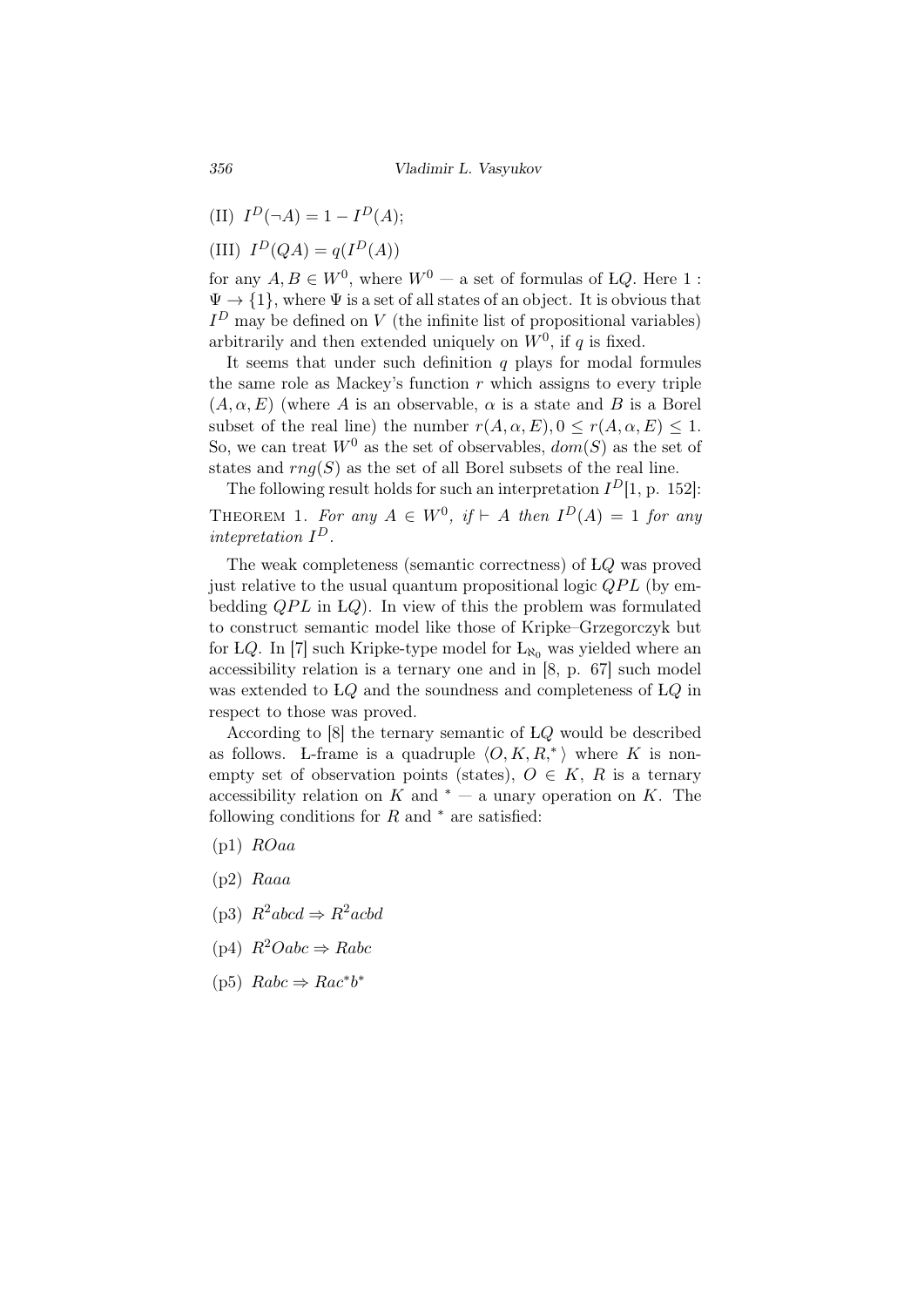- $(II)$   $I^D(\neg A) = 1 I^D(A);$
- $I^D(QA) = q(I^D(A))$

for any  $A, B \in W^0$ , where  $W^0$  — a set of formulas of *LQ*. Here 1 :  $\Psi \rightarrow \{1\}$ , where  $\Psi$  is a set of all states of an object. It is obvious that  $I<sup>D</sup>$  may be defined on *V* (the infinite list of propositional variables) arbitrarily and then extended uniquely on  $W^0$ , if q is fixed.

It seems that under such definition *q* plays for modal formules the same role as Mackey's function *r* which assigns to every triple  $(A, \alpha, E)$  (where *A* is an observable,  $\alpha$  is a state and *B* is a Borel subset of the real line) the number  $r(A, \alpha, E), 0 \le r(A, \alpha, E) \le 1$ . So, we can treat  $W^0$  as the set of observables,  $dom(S)$  as the set of states and  $rnq(S)$  as the set of all Borel subsets of the real line.

The following result holds for such an interpretation  $I<sup>D</sup>[1, p. 152]$ : THEOREM 1. For any  $A \in W^0$ , if  $\vdash A$  then  $I^D(A) = 1$  for any *intepretation I D.*

The weak completeness (semantic correctness) of L*Q* was proved just relative to the usual quantum propositional logic *QPL* (by embedding *QPL* in L*Q*). In view of this the problem was formulated to construct semantic model like those of Kripke–Grzegorczyk but for LQ. In [7] such Kripke-type model for  $L_{\aleph_0}$  was yielded where an accessibility relation is a ternary one and in [8, p. 67] such model was extended to L*Q* and the soundness and completeness of L*Q* in respect to those was proved.

According to [8] the ternary semantic of L*Q* would be described as follows. L-frame is a quadruple  $\langle O, K, R, \rangle$  where K is nonempty set of observation points (states),  $O \in K$ ,  $R$  is a ternary accessibility relation on *K* and  $*$  — a unary operation on *K*. The following conditions for *R* and *<sup>∗</sup>* are satisfied:

- (p1) *ROaa*
- (p2) *Raaa*
- $(p3)$   $R^2abcd \Rightarrow R^2acbd$
- (p4) *R*2*Oabc ⇒ Rabc*
- $(p5)$   $Rabc \Rightarrow Rac^*b^*$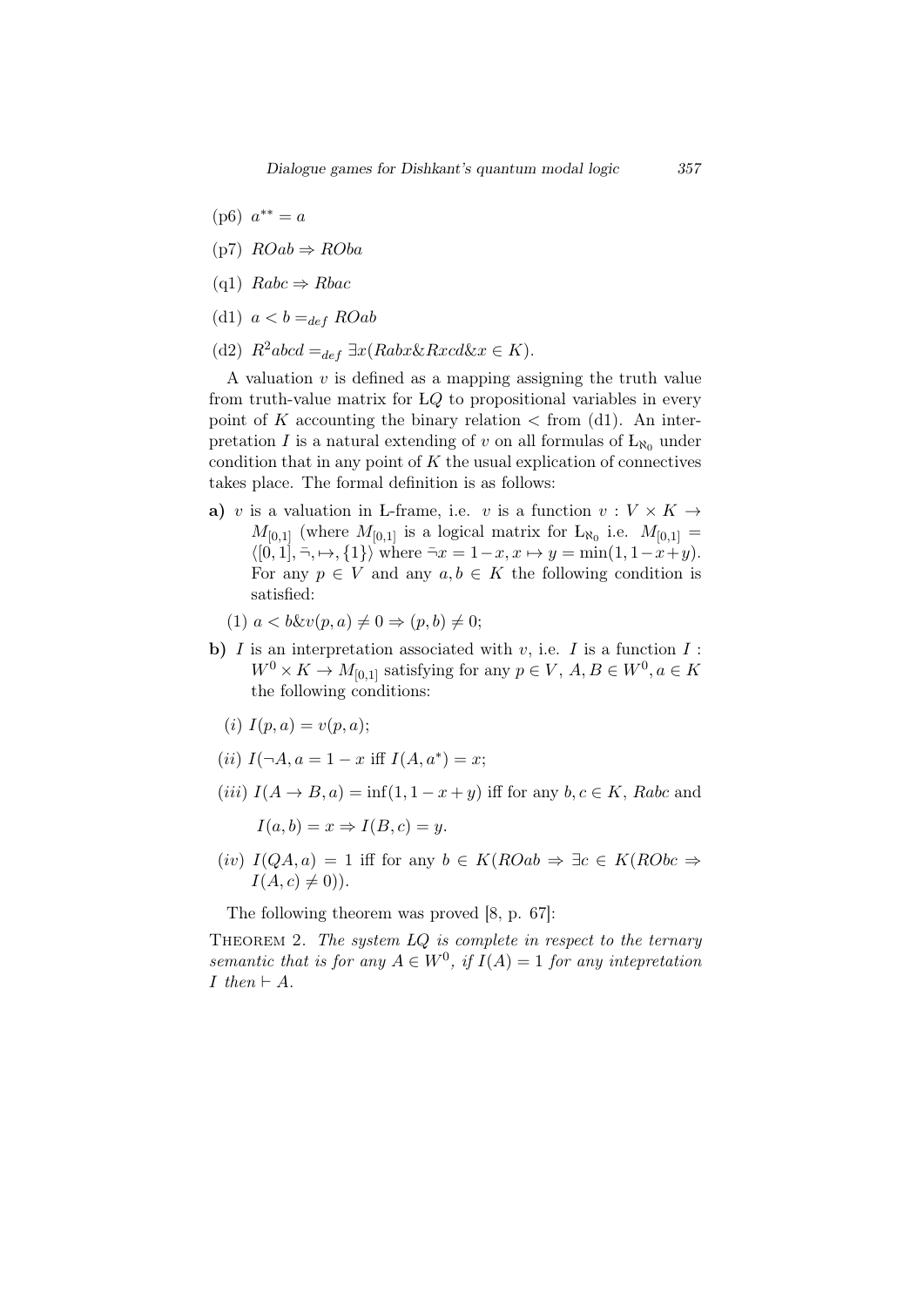- $(p6)$   $a^{**} = a$
- (p7) *ROab ⇒ ROba*
- (q1) *Rabc ⇒ Rbac*
- (d1)  $a < b =_{def} ROab$
- (d2)  $R^2abcd =_{def} \exists x(Rabx \& Rxd \& x \in K).$

A valuation *v* is defined as a mapping assigning the truth value from truth-value matrix for L*Q* to propositional variables in every point of  $K$  accounting the binary relation  $\lt$  from (d1). An interpretation *I* is a natural extending of *v* on all formulas of  $L_{\aleph_0}$  under condition that in any point of *K* the usual explication of connectives takes place. The formal definition is as follows:

- a) *v* is a valuation in L-frame, i.e. *v* is a function  $v: V \times K \rightarrow$  $M_{[0,1]}$  (where  $M_{[0,1]}$  is a logical matrix for  $L_{\aleph_0}$  i.e.  $M_{[0,1]} =$  $\langle [0, 1], \neg, \mapsto, \{1\} \rangle$  where  $\neg x = 1 - x, x \mapsto y = \min(1, 1 - x + y)$ . For any  $p \in V$  and any  $a, b \in K$  the following condition is satisfied:
	- $(1)$   $a < b\&v(p, a) \neq 0 \Rightarrow (p, b) \neq 0;$
- **b**)  $I$  is an interpretation associated with  $v$ , i.e.  $I$  is a function  $I$ :  $W^0 \times K \to M_{[0,1]}$  satisfying for any  $p \in V$ ,  $A, B \in W^0, a \in K$ the following conditions:
	- (*i*)  $I(p, a) = v(p, a);$
	- $(iii) I(\neg A, a = 1 x \text{ iff } I(A, a^*) = x;$
- $(iii) I(A \rightarrow B, a) = inf(1, 1 x + y)$  iff for any  $b, c \in K$ , Rabc and

 $I(a, b) = x \Rightarrow I(B, c) = y.$ 

(*iv*) *I*(*QA, a*) = 1 iff for any *b ∈ K*(*ROab ⇒ ∃c ∈ K*(*RObc ⇒*  $I(A, c) \neq 0$ )).

The following theorem was proved [8, p. 67]:

Theorem 2. *The system LQ is complete in respect to the ternary semantic that is for any*  $A \in W^0$ , if  $I(A) = 1$  *for any intepretation I then ⊢ A.*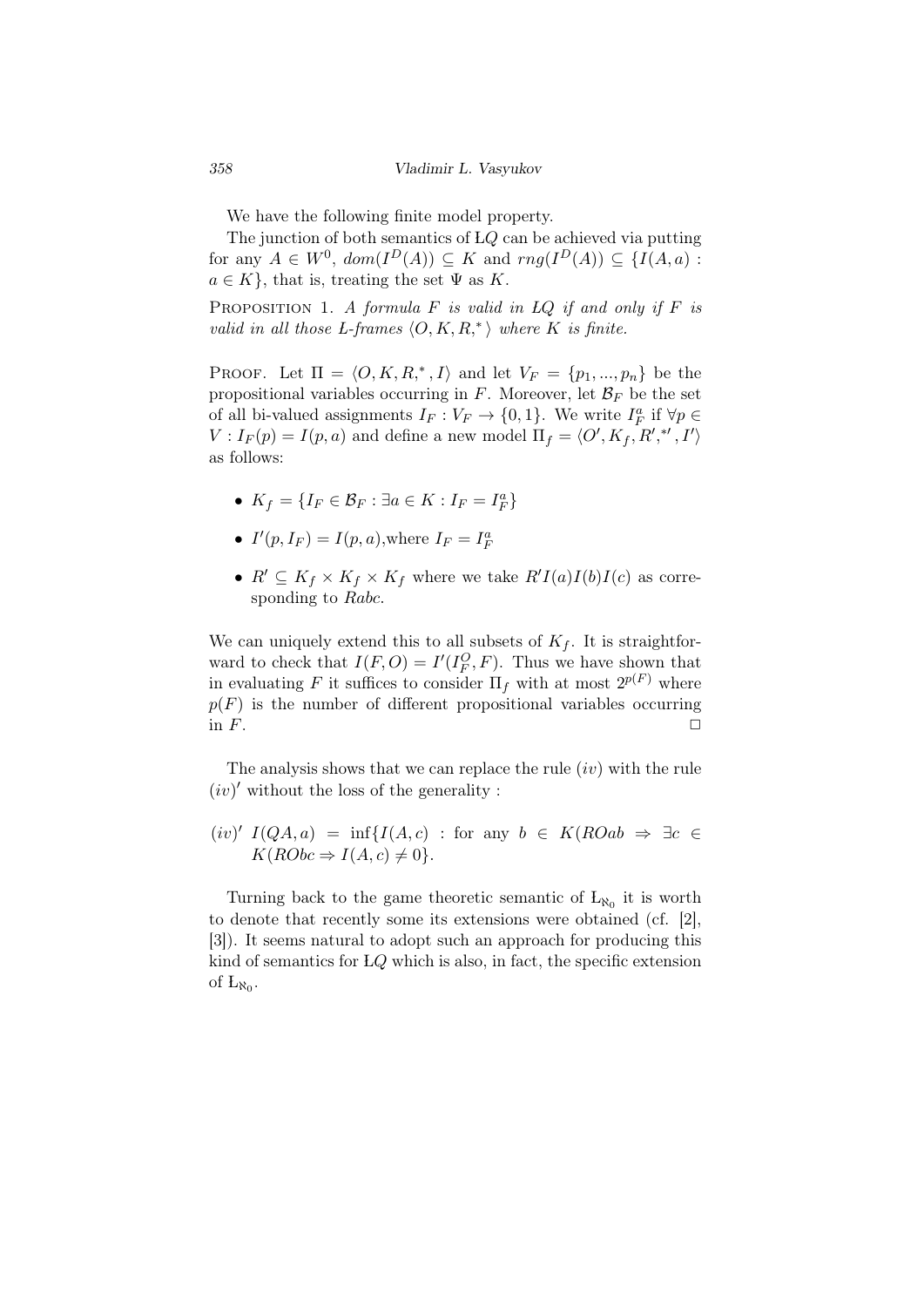We have the following finite model property.

The junction of both semantics of L*Q* can be achieved via putting for any  $A \in W^0$ ,  $dom(I^D(A)) \subseteq K$  and  $rng(I^D(A)) \subseteq \{I(A,a) :$  $a \in K$ , that is, treating the set  $\Psi$  as *K*.

Proposition 1. *A formula F is valid in LQ if and only if F is valid in all those L-frames*  $\langle O, K, R, ^{*} \rangle$  *where*  $K$  *is finite.* 

PROOF. Let  $\Pi = \langle O, K, R,^*, I \rangle$  and let  $V_F = \{p_1, ..., p_n\}$  be the propositional variables occurring in  $F$ . Moreover, let  $\mathcal{B}_F$  be the set of all bi-valued assignments  $I_F: V_F \to \{0, 1\}$ . We write  $I_F^a$  if  $\forall p \in$  $V: I_F(p) = I(p, a)$  and define a new model  $\Pi_f = \langle O', K_f, R', *, I' \rangle$ as follows:

- $K_f = \{I_F \in \mathcal{B}_F : \exists a \in K : I_F = I_F^a\}$
- $I'(p, I_F) = I(p, a)$ , where  $I_F = I_F^a$
- $R' \subseteq K_f \times K_f \times K_f$  where we take  $R'I(a)I(b)I(c)$  as corresponding to *Rabc.*

We can uniquely extend this to all subsets of  $K_f$ . It is straightforward to check that  $I(F, O) = I'(I_F^O, F)$ . Thus we have shown that in evaluating F it suffices to consider  $\Pi_f$  with at most  $2^{p(F)}$  where  $p(F)$  is the number of different propositional variables occurring in  $F$ .

The analysis shows that we can replace the rule (*iv*) with the rule  $(iv)'$  without the loss of the generality :

$$
(iv)' I(QA, a) = \inf \{ I(A, c) : \text{for any } b \in K(ROab \Rightarrow \exists c \in K(RObc \Rightarrow I(A, c) \neq 0 \}.
$$

Turning back to the game theoretic semantic of  $L_{\aleph_0}$  it is worth to denote that recently some its extensions were obtained (cf. [2], [3]). It seems natural to adopt such an approach for producing this kind of semantics for L*Q* which is also, in fact, the specific extension of  $L_{\aleph_0}$ .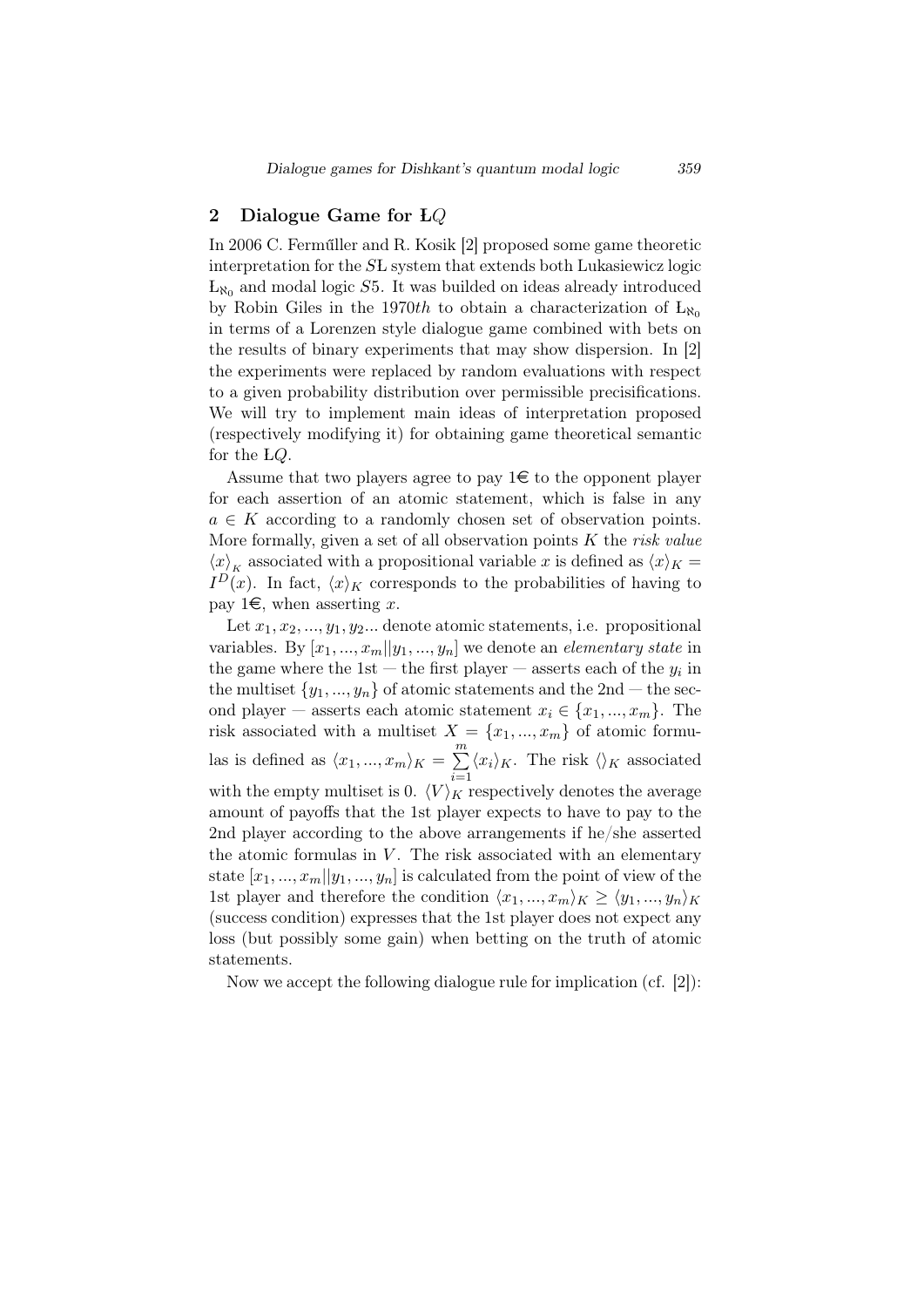## 2 Dialogue Game for **L***Q*

In 2006 C. Ferműller and R. Kosik [2] proposed some game theoretic interpretation for the *SL* system that extends both Lukasiewicz logic  $L_{\aleph_0}$  and modal logic  $S5$ . It was builded on ideas already introduced by Robin Giles in the 1970*th* to obtain a characterization of  $L_{\aleph_0}$ in terms of a Lorenzen style dialogue game combined with bets on the results of binary experiments that may show dispersion. In [2] the experiments were replaced by random evaluations with respect to a given probability distribution over permissible precisifications. We will try to implement main ideas of interpretation proposed (respectively modifying it) for obtaining game theoretical semantic for the L*Q*.

Assume that two players agree to pay  $1 \in \mathfrak{t}$  to the opponent player for each assertion of an atomic statement, which is false in any  $a \in K$  according to a randomly chosen set of observation points. More formally, given a set of all observation points *K* the *risk value*  $\langle x \rangle_K$  associated with a propositional variable *x* is defined as  $\langle x \rangle_K =$  $I<sup>D</sup>(x)$ . In fact,  $\langle x \rangle_K$  corresponds to the probabilities of having to pay 1 $\in$ , when asserting *x*.

Let  $x_1, x_2, \ldots, y_1, y_2, \ldots$  denote atomic statements, i.e. propositional variables. By  $[x_1, ..., x_m||y_1, ..., y_n]$  we denote an *elementary state* in the game where the 1st – the first player – asserts each of the  $y_i$  in the multiset  $\{y_1, ..., y_n\}$  of atomic statements and the 2nd – the second player — asserts each atomic statement  $x_i \in \{x_1, ..., x_m\}$ . The risk associated with a multiset  $X = \{x_1, ..., x_m\}$  of atomic formulas is defined as  $\langle x_1, ..., x_m \rangle_K = \sum_{n=1}^{m}$ *i*=1  $\langle x_i \rangle_K$ . The risk  $\langle \rangle_K$  associated with the empty multiset is 0.  $\langle V \rangle_K$  respectively denotes the average amount of payoffs that the 1st player expects to have to pay to the 2nd player according to the above arrangements if he/she asserted the atomic formulas in  $V$ . The risk associated with an elementary state  $[x_1, ..., x_m||y_1, ..., y_n]$  is calculated from the point of view of the 1st player and therefore the condition  $\langle x_1, ..., x_m \rangle_K \geq \langle y_1, ..., y_n \rangle_K$ (success condition) expresses that the 1st player does not expect any loss (but possibly some gain) when betting on the truth of atomic statements.

Now we accept the following dialogue rule for implication (cf. [2]):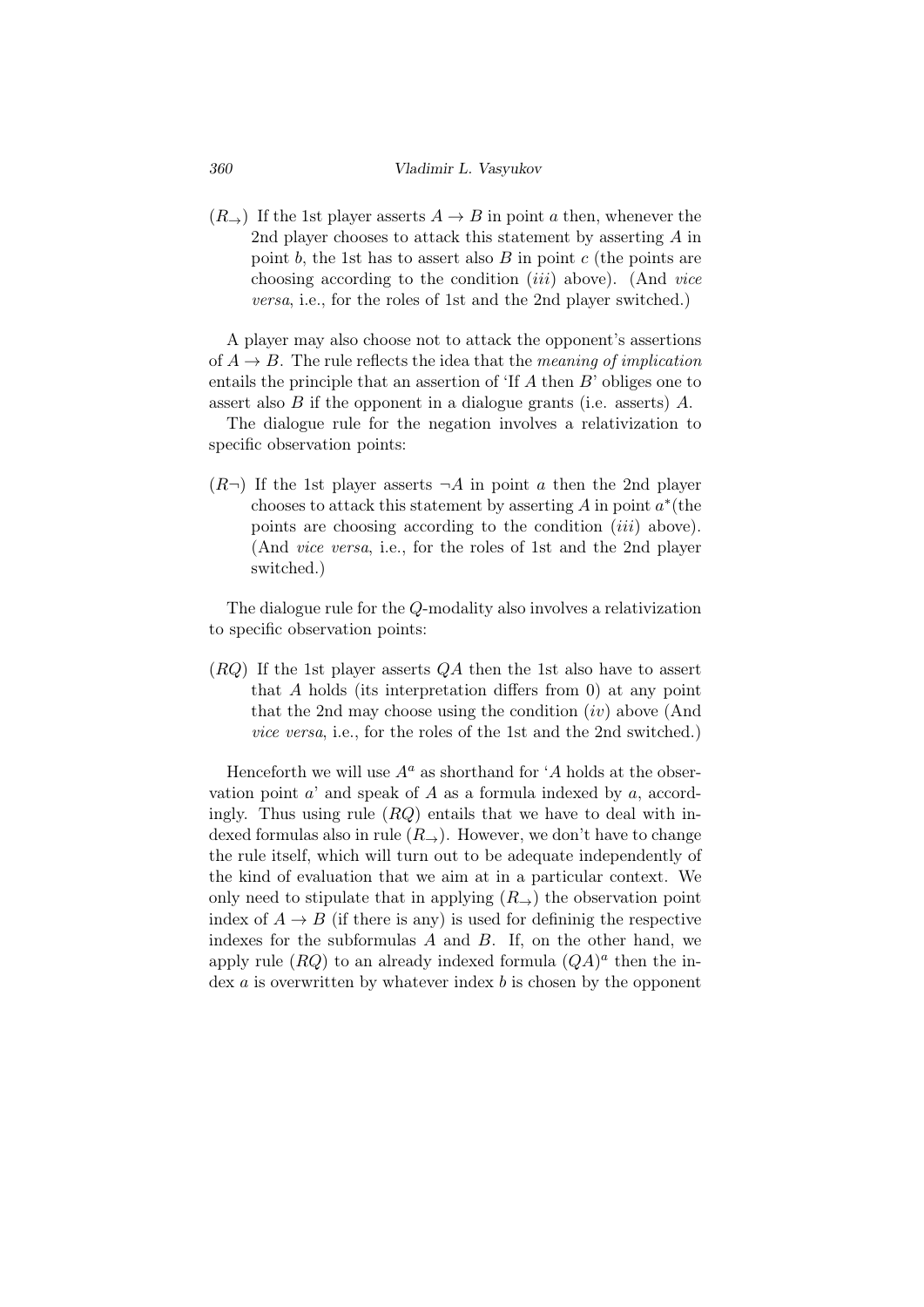$(R<sub>\rightarrow</sub>)$  If the 1st player asserts  $A \rightarrow B$  in point *a* then, whenever the 2nd player chooses to attack this statement by asserting *A* in point *b*, the 1st has to assert also *B* in point *c* (the points are choosing according to the condition (*iii*) above). (And *vice versa*, i.e., for the roles of 1st and the 2nd player switched.)

A player may also choose not to attack the opponent's assertions of  $A \rightarrow B$ . The rule reflects the idea that the *meaning of implication* entails the principle that an assertion of 'If *A* then *B*' obliges one to assert also *B* if the opponent in a dialogue grants (i.e. asserts) *A*.

The dialogue rule for the negation involves a relativization to specific observation points:

 $(R<sub>\rightarrow</sub>)$  If the 1st player asserts  $\neg A$  in point *a* then the 2nd player chooses to attack this statement by asserting *A* in point *a ∗* (the points are choosing according to the condition (*iii*) above). (And *vice versa*, i.e., for the roles of 1st and the 2nd player switched.)

The dialogue rule for the *Q*-modality also involves a relativization to specific observation points:

(*RQ*) If the 1st player asserts *QA* then the 1st also have to assert that *A* holds (its interpretation differs from 0) at any point that the 2nd may choose using the condition (*iv*) above (And *vice versa*, i.e., for the roles of the 1st and the 2nd switched.)

Henceforth we will use  $A^a$  as shorthand for '*A* holds at the observation point *a*' and speak of *A* as a formula indexed by *a*, accordingly. Thus using rule (*RQ*) entails that we have to deal with indexed formulas also in rule  $(R<sub>→</sub>)$ . However, we don't have to change the rule itself, which will turn out to be adequate independently of the kind of evaluation that we aim at in a particular context. We only need to stipulate that in applying  $(R<sub>→</sub>)$  the observation point index of  $A \rightarrow B$  (if there is any) is used for defininig the respective indexes for the subformulas *A* and *B*. If, on the other hand, we apply rule  $(RQ)$  to an already indexed formula  $(QA)^a$  then the index *a* is overwritten by whatever index *b* is chosen by the opponent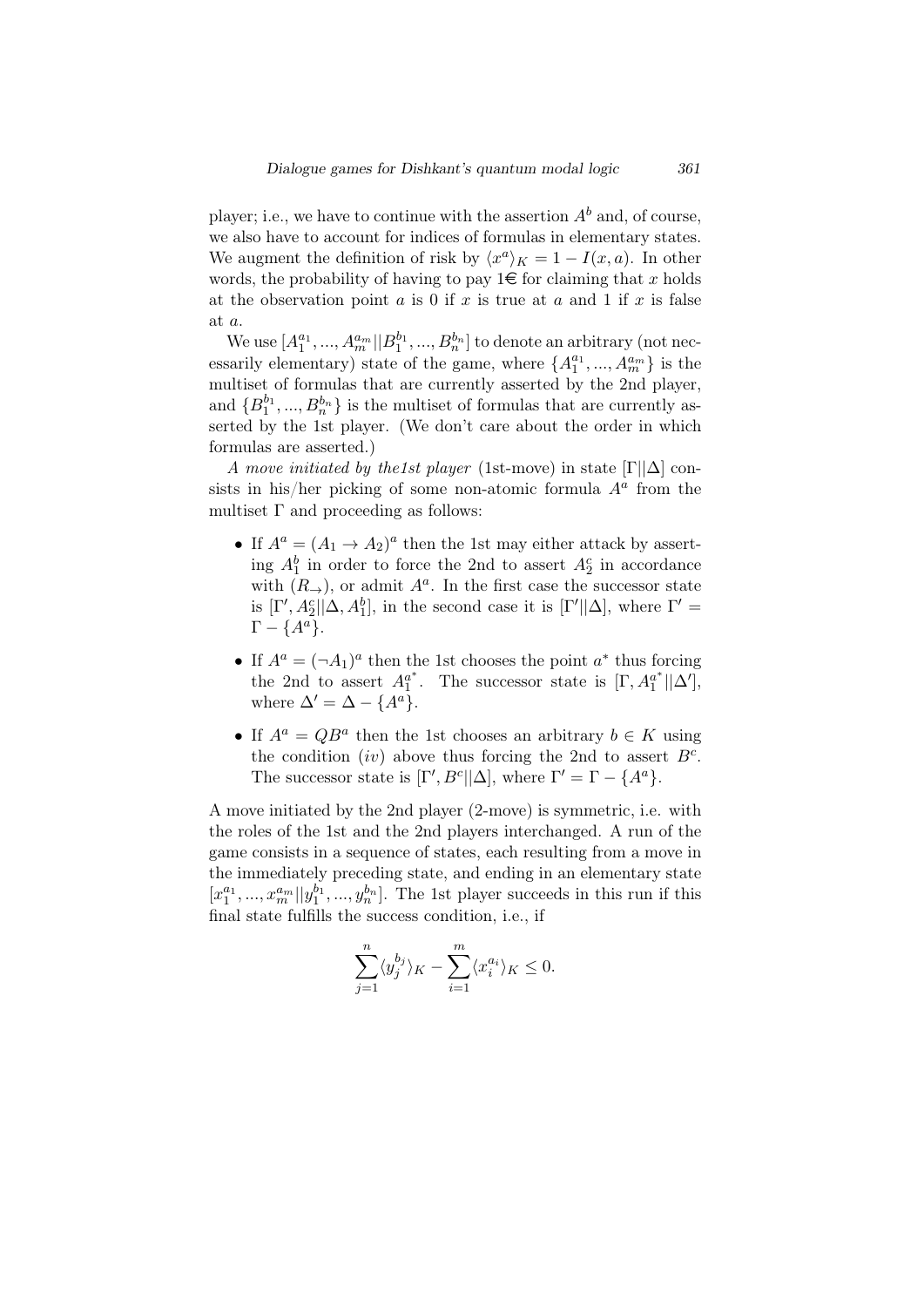player; i.e., we have to continue with the assertion  $A^b$  and, of course, we also have to account for indices of formulas in elementary states. We augment the definition of risk by  $\langle x^a \rangle_K = 1 - I(x, a)$ . In other words, the probability of having to pay  $1 \in \mathbb{R}$  for claiming that *x* holds at the observation point *a* is 0 if *x* is true at *a* and 1 if *x* is false at *a*.

We use  $[A_1^{a_1},...,A_m^{a_m}||B_1^{b_1},...,B_n^{b_n}]$  to denote an arbitrary (not necessarily elementary) state of the game, where  $\{A_1^{a_1},...,A_m^{a_m}\}$  is the multiset of formulas that are currently asserted by the 2nd player, and  ${B_1^{b_1}, ..., B_n^{b_n}}$  is the multiset of formulas that are currently asserted by the 1st player. (We don't care about the order in which formulas are asserted.)

*A move initiated by the1st player* (1st-move) in state [Γ*||*∆] consists in his/her picking of some non-atomic formula  $A^a$  from the multiset  $\Gamma$  and proceeding as follows:

- If  $A^a = (A_1 \rightarrow A_2)^a$  then the 1st may either attack by asserting  $A_1^b$  in order to force the 2nd to assert  $A_2^c$  in accordance with  $(R_{\rightarrow})$ , or admit  $A^a$ . In the first case the successor state is  $[\Gamma', A_2^c || \Delta, A_1^b]$ , in the second case it is  $[\Gamma' || \Delta]$ , where  $\Gamma' =$  $\Gamma - \{A^a\}.$
- If  $A^a = (\neg A_1)^a$  then the 1st chooses the point *a*<sup>\*</sup> thus forcing the 2nd to assert  $A_1^{a^*}$ . The successor state is  $[\Gamma, A_1^{a^*} || \Delta'],$ where  $\Delta' = \Delta - \{A^a\}.$
- If  $A^a = QB^a$  then the 1st chooses an arbitrary  $b \in K$  using the condition *(iv)* above thus forcing the 2nd to assert  $B^c$ . The successor state is  $[\Gamma', B^c || \Delta]$ , where  $\Gamma' = \Gamma - \{A^a\}.$

A move initiated by the 2nd player (2-move) is symmetric, i.e. with the roles of the 1st and the 2nd players interchanged. A run of the game consists in a sequence of states, each resulting from a move in the immediately preceding state, and ending in an elementary state  $[x_1^{a_1},...,x_m^{a_m}||y_1^{b_1},...,y_n^{b_n}].$  The 1st player succeeds in this run if this final state fulfills the success condition, i.e., if

$$
\sum_{j=1}^{n} \langle y_j^{b_j} \rangle_K - \sum_{i=1}^{m} \langle x_i^{a_i} \rangle_K \le 0.
$$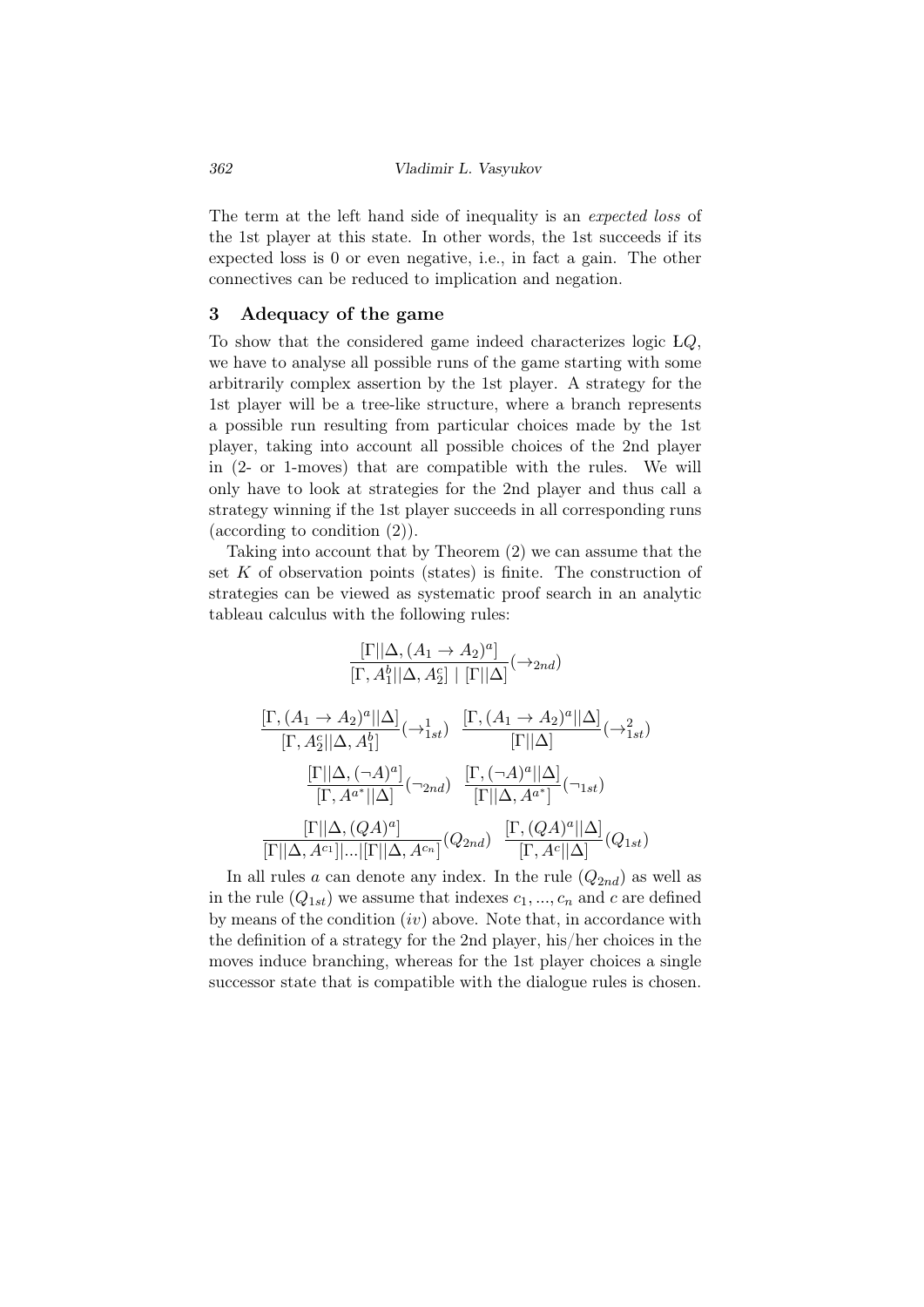The term at the left hand side of inequality is an *expected loss* of the 1st player at this state. In other words, the 1st succeeds if its expected loss is 0 or even negative, i.e., in fact a gain. The other connectives can be reduced to implication and negation.

## 3 Adequacy of the game

To show that the considered game indeed characterizes logic L*Q*, we have to analyse all possible runs of the game starting with some arbitrarily complex assertion by the 1st player. A strategy for the 1st player will be a tree-like structure, where a branch represents a possible run resulting from particular choices made by the 1st player, taking into account all possible choices of the 2nd player in (2- or 1-moves) that are compatible with the rules. We will only have to look at strategies for the 2nd player and thus call a strategy winning if the 1st player succeeds in all corresponding runs (according to condition (2)).

Taking into account that by Theorem (2) we can assume that the set *K* of observation points (states) is finite. The construction of strategies can be viewed as systematic proof search in an analytic tableau calculus with the following rules:

$$
\frac{\Gamma||\Delta, (A_1 \rightarrow A_2)^a]}{\Gamma, A_1^b||\Delta, A_2^c||\Gamma||\Delta|}(\rightarrow_{2nd})
$$
\n
$$
\frac{\Gamma, (A_1 \rightarrow A_2)^a||\Delta|}{\Gamma, A_2^c||\Delta, A_1^b]}(\rightarrow_{1st}) \frac{\Gamma, (A_1 \rightarrow A_2)^a||\Delta|}{\Gamma||\Delta|}(\rightarrow_{1st}^2)
$$
\n
$$
\frac{\Gamma||\Delta, (\neg A)^a|}{\Gamma, A^{a^*}||\Delta|}(\rightarrow_{2nd}) \frac{\Gamma, (\neg A)^a||\Delta|}{\Gamma||\Delta, A^{a^*}|}(\rightarrow_{1st})
$$
\n
$$
\frac{\Gamma||\Delta, (QA)^a|}{\Gamma||\Delta, A^{c_1}||...||\Gamma||\Delta, A^{c_n}]}(Q_{2nd}) \frac{\Gamma, (QA)^a||\Delta|}{\Gamma, A^c||\Delta|}(Q_{1st})
$$

In all rules *a* can denote any index. In the rule  $(Q_{2nd})$  as well as in the rule  $(Q_{1st})$  we assume that indexes  $c_1, ..., c_n$  and  $c$  are defined by means of the condition (*iv*) above. Note that, in accordance with the definition of a strategy for the 2nd player, his/her choices in the moves induce branching, whereas for the 1st player choices a single successor state that is compatible with the dialogue rules is chosen.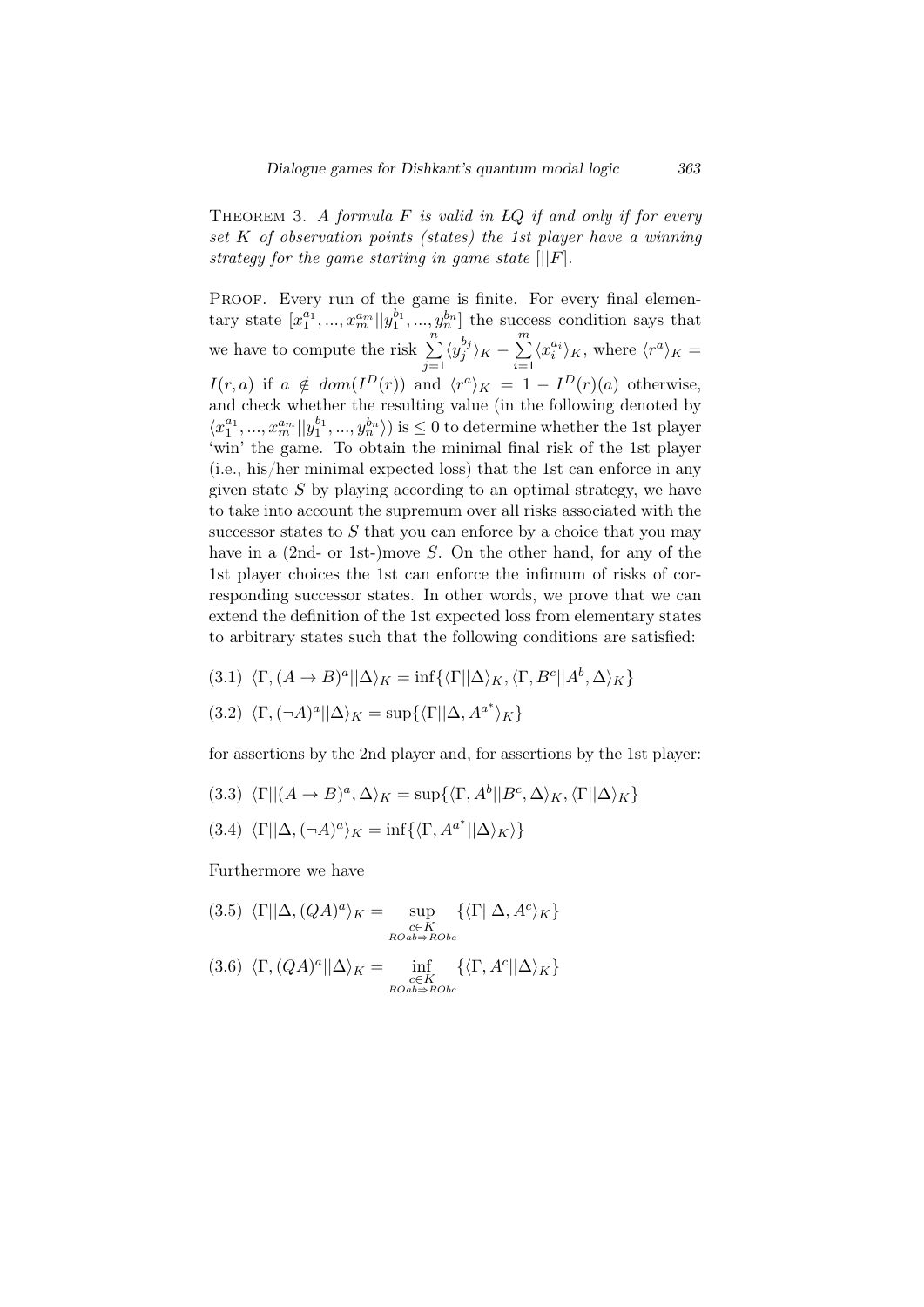Theorem 3. *A formula F is valid in LQ if and only if for every set K of observation points (states) the 1st player have a winning strategy for the game starting in game state* [*||F*]*.*

PROOF. Every run of the game is finite. For every final elemen- $\{x_1^{a_1},...,x_m^{a_m} | y_1^{b_1},..., y_n^{b_n} \}$  the success condition says that we have to compute the risk  $\sum_{n=1}^n$ *j*=1  $\langle y_j^{b_j} \rangle$  $\sum_{j}^{b_j}$ <sub>*K*</sub> −  $\sum_{j}^{m}$ *i*=1  $\langle x_i^{a_i} \rangle_K$ , where  $\langle r^a \rangle_K =$ *I*(*r, a*) if  $a \notin dom(I^D(r))$  and  $\langle r^a \rangle_K = 1 - I^D(r)(a)$  otherwise, and check whether the resulting value (in the following denoted by  $\langle x_1^{a_1}, ..., x_m^{a_m} | y_1^{b_1}, ..., y_n^{b_n} \rangle$  is  $\leq 0$  to determine whether the 1st player 'win' the game. To obtain the minimal final risk of the 1st player (i.e., his/her minimal expected loss) that the 1st can enforce in any given state *S* by playing according to an optimal strategy, we have to take into account the supremum over all risks associated with the successor states to *S* that you can enforce by a choice that you may have in a (2nd- or 1st-)move *S*. On the other hand, for any of the 1st player choices the 1st can enforce the infimum of risks of corresponding successor states. In other words, we prove that we can extend the definition of the 1st expected loss from elementary states to arbitrary states such that the following conditions are satisfied:

$$
(3.1) \langle \Gamma, (A \to B)^a || \Delta \rangle_K = \inf \{ \langle \Gamma || \Delta \rangle_K, \langle \Gamma, B^c || A^b, \Delta \rangle_K \}
$$

$$
(3.2) \langle \Gamma, (\neg A)^a || \Delta \rangle_K = \sup \{ \langle \Gamma || \Delta, A^{a^*} \rangle_K \}
$$

for assertions by the 2nd player and, for assertions by the 1st player:

(3.3)  $\langle \Gamma || (A \to B)^a, \Delta \rangle_K = \sup \{ \langle \Gamma, A^b || B^c, \Delta \rangle_K, \langle \Gamma || \Delta \rangle_K \}$ 

$$
(3.4) \langle \Gamma || \Delta, (\neg A)^a \rangle_K = \inf \{ \langle \Gamma, A^{a^*} || \Delta \rangle_K \rangle \}
$$

Furthermore we have

$$
(3.5)\ \langle \Gamma || \Delta, (QA)^a \rangle_K = \sup_{\substack{c \in K \\ \text{ROab} \Rightarrow \text{RObc}}} \{ \langle \Gamma || \Delta, A^c \rangle_K \}
$$

$$
(3.6)\ \ \langle \Gamma, (QA)^a || \Delta \rangle_K = \inf_{\substack{c \in K \\ \text{ROab} \Rightarrow \text{RObc}}} \{ \langle \Gamma, A^c || \Delta \rangle_K \}
$$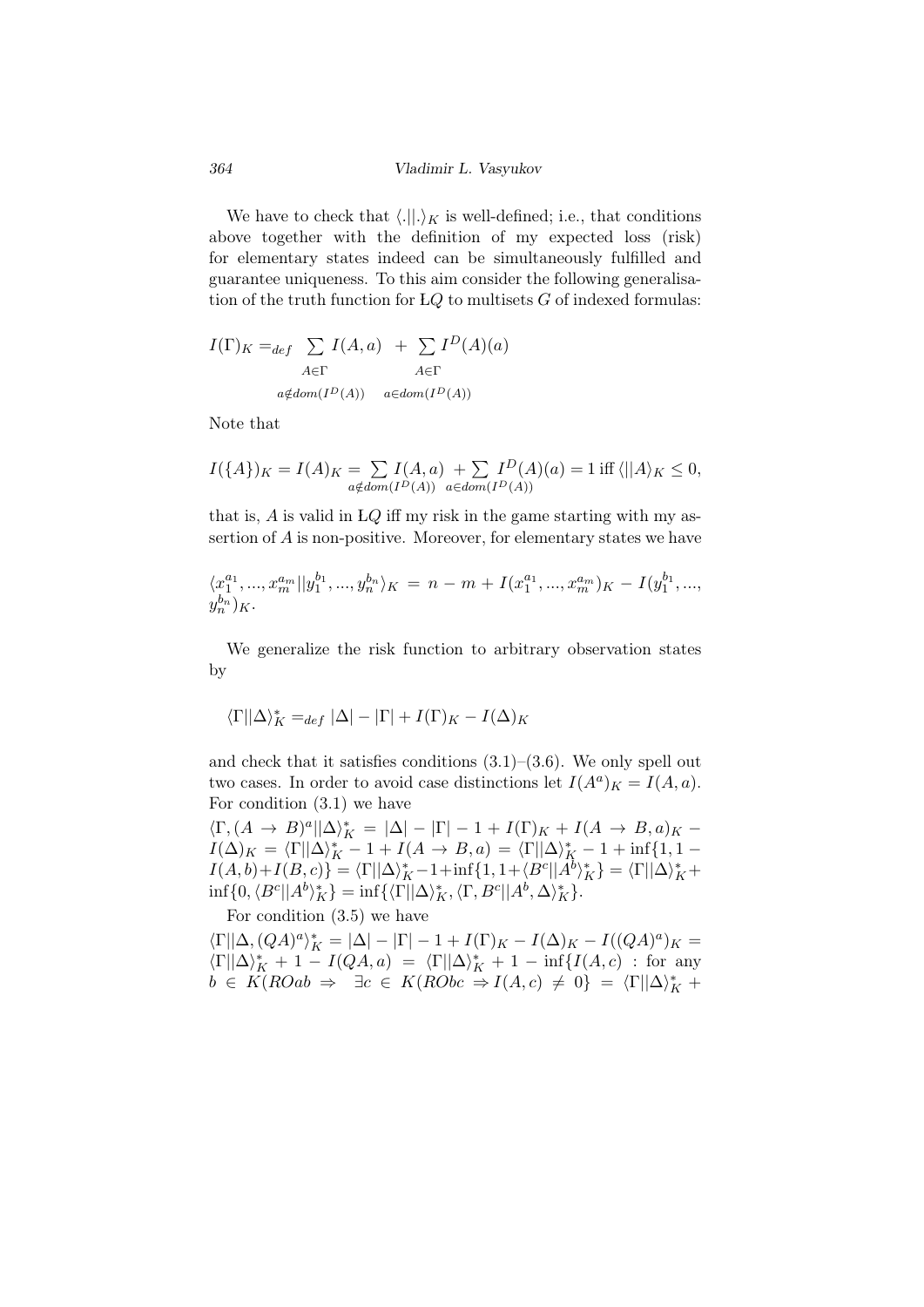We have to check that  $\langle .||. \rangle_K$  is well-defined; i.e., that conditions above together with the definition of my expected loss (risk) for elementary states indeed can be simultaneously fulfilled and guarantee uniqueness. To this aim consider the following generalisation of the truth function for L*Q* to multisets *G* of indexed formulas:

$$
I(\Gamma)_K =_{def} \sum_{A \in \Gamma} I(A, a) + \sum_{A \in \Gamma} I^D(A)(a)
$$
  

$$
A \in \Gamma
$$
  

$$
a \notin dom(I^D(A)) \quad a \in dom(I^D(A))
$$

Note that

$$
I({A})_K = I(A)_K = \sum_{a \notin dom(I^D(A))} I(A, a) + \sum_{a \in dom(I^D(A))} I^D(A)(a) = 1 \text{ iff } \langle ||A \rangle_K \le 0,
$$

that is, *A* is valid in L*Q* iff my risk in the game starting with my assertion of *A* is non-positive. Moreover, for elementary states we have

$$
\langle x_1^{a_1},...,x_m^{a_m}||y_1^{b_1},...,y_n^{b_n}\rangle_K = n-m + I(x_1^{a_1},...,x_m^{a_m})_K - I(y_1^{b_1},...,y_n^{b_n})_K.
$$

We generalize the risk function to arbitrary observation states by

$$
\langle \Gamma || \Delta \rangle^*_K =_{def} |\Delta| - |\Gamma| + I(\Gamma)_K - I(\Delta)_K
$$

and check that it satisfies conditions  $(3.1)$ – $(3.6)$ . We only spell out two cases. In order to avoid case distinctions let  $I(A^a)_K = I(A, a)$ . For condition (3.1) we have

 $\langle \Gamma, (A \to B)^a | \Delta \rangle_K^* = |\Delta| - |\Gamma| - 1 + I(\Gamma)_K + I(A \to B, a)_K -$ *I*( $\Delta$ )*K* =  $\langle \Gamma || \Delta \rangle_K^*$  - 1 + *I*( $A \to B, a$ ) =  $\langle \Gamma || \Delta \rangle_K^*$  - 1 + inf{1,1 - $I(A,b)+I(B,c)$ } =  $\langle \Gamma || \Delta \rangle_K^* - 1 + \inf \{ 1, 1 + \langle B^c || A^b \rangle_K^* \} = \langle \Gamma || \Delta \rangle_K^* +$  $\inf\{0, \langle B^c||A^b\rangle^*_K\} = \inf\{\langle \Gamma||\Delta\rangle^*_K, \langle \Gamma, B^c||A^b, \Delta\rangle^*_K\}.$ 

For condition (3.5) we have

 $\langle \Gamma || \Delta, (QA)^a \rangle_K^* = |\Delta| - |\Gamma| - 1 + I(\Gamma)_K - I(\Delta)_K - I((QA)^a)_K =$  $\langle \Gamma || \Delta \rangle_K^*$  + 1 *− I*( $QA, a$ ) =  $\langle \Gamma || \Delta \rangle_K^*$  + 1 − inf $\{I(A, c)$  : for any  $b \in K(ROab \Rightarrow \exists c \in K(RObc \Rightarrow I(A,c) \neq 0) = \langle \Gamma | |\Delta \rangle_K^*$